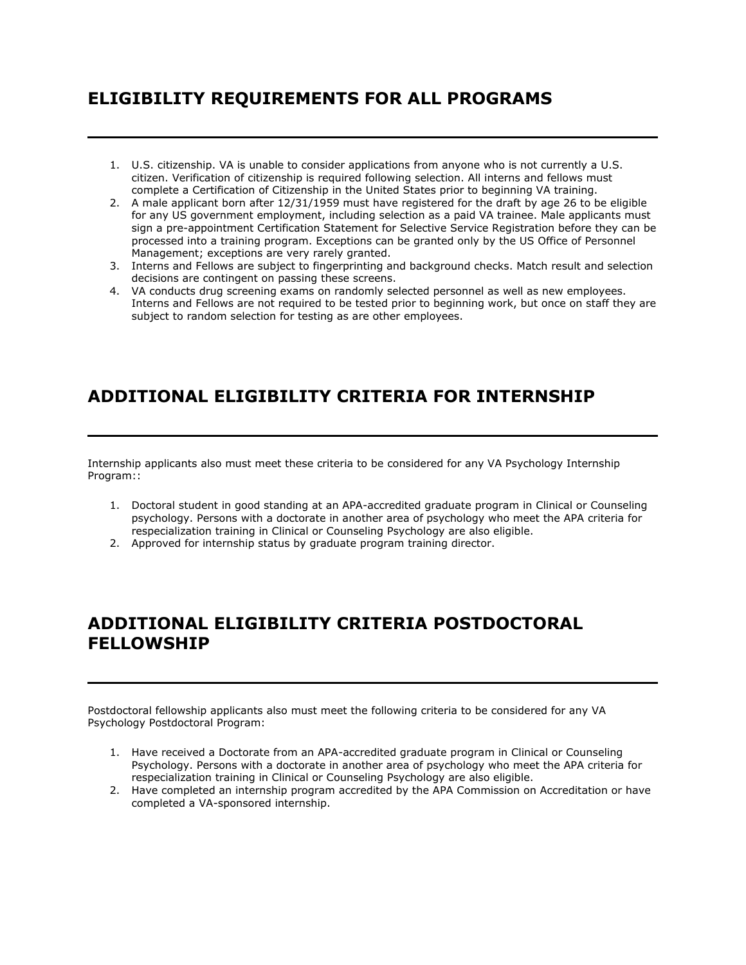## **ELIGIBILITY REQUIREMENTS FOR ALL PROGRAMS**

- 1. U.S. citizenship. VA is unable to consider applications from anyone who is not currently a U.S. citizen. Verification of citizenship is required following selection. All interns and fellows must complete a Certification of Citizenship in the United States prior to beginning VA training.
- 2. A male applicant born after 12/31/1959 must have registered for the draft by age 26 to be eligible for any US government employment, including selection as a paid VA trainee. Male applicants must sign a pre-appointment Certification Statement for Selective Service Registration before they can be processed into a training program. Exceptions can be granted only by the US Office of Personnel Management; exceptions are very rarely granted.
- 3. Interns and Fellows are subject to fingerprinting and background checks. Match result and selection decisions are contingent on passing these screens.
- 4. VA conducts drug screening exams on randomly selected personnel as well as new employees. Interns and Fellows are not required to be tested prior to beginning work, but once on staff they are subject to random selection for testing as are other employees.

## **ADDITIONAL ELIGIBILITY CRITERIA FOR INTERNSHIP**

Internship applicants also must meet these criteria to be considered for any VA Psychology Internship Program::

- 1. Doctoral student in good standing at an APA-accredited graduate program in Clinical or Counseling psychology. Persons with a doctorate in another area of psychology who meet the APA criteria for respecialization training in Clinical or Counseling Psychology are also eligible.
- 2. Approved for internship status by graduate program training director.

## **ADDITIONAL ELIGIBILITY CRITERIA POSTDOCTORAL FELLOWSHIP**

Postdoctoral fellowship applicants also must meet the following criteria to be considered for any VA Psychology Postdoctoral Program:

- 1. Have received a Doctorate from an APA-accredited graduate program in Clinical or Counseling Psychology. Persons with a doctorate in another area of psychology who meet the APA criteria for respecialization training in Clinical or Counseling Psychology are also eligible.
- 2. Have completed an internship program accredited by the APA Commission on Accreditation or have completed a VA-sponsored internship.